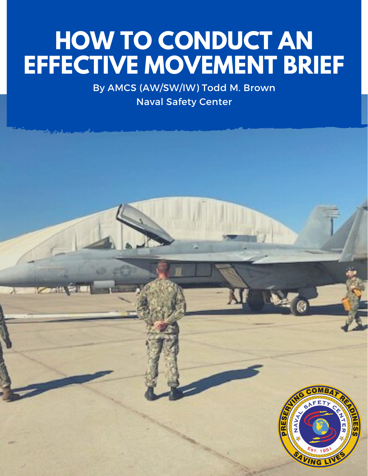## **HOW TO CONDUCT AN EFFECTIVE MOVEMENT BRIEF**

By AMCS (AW/SW/IW) Todd M. Brown Naval Safety Center